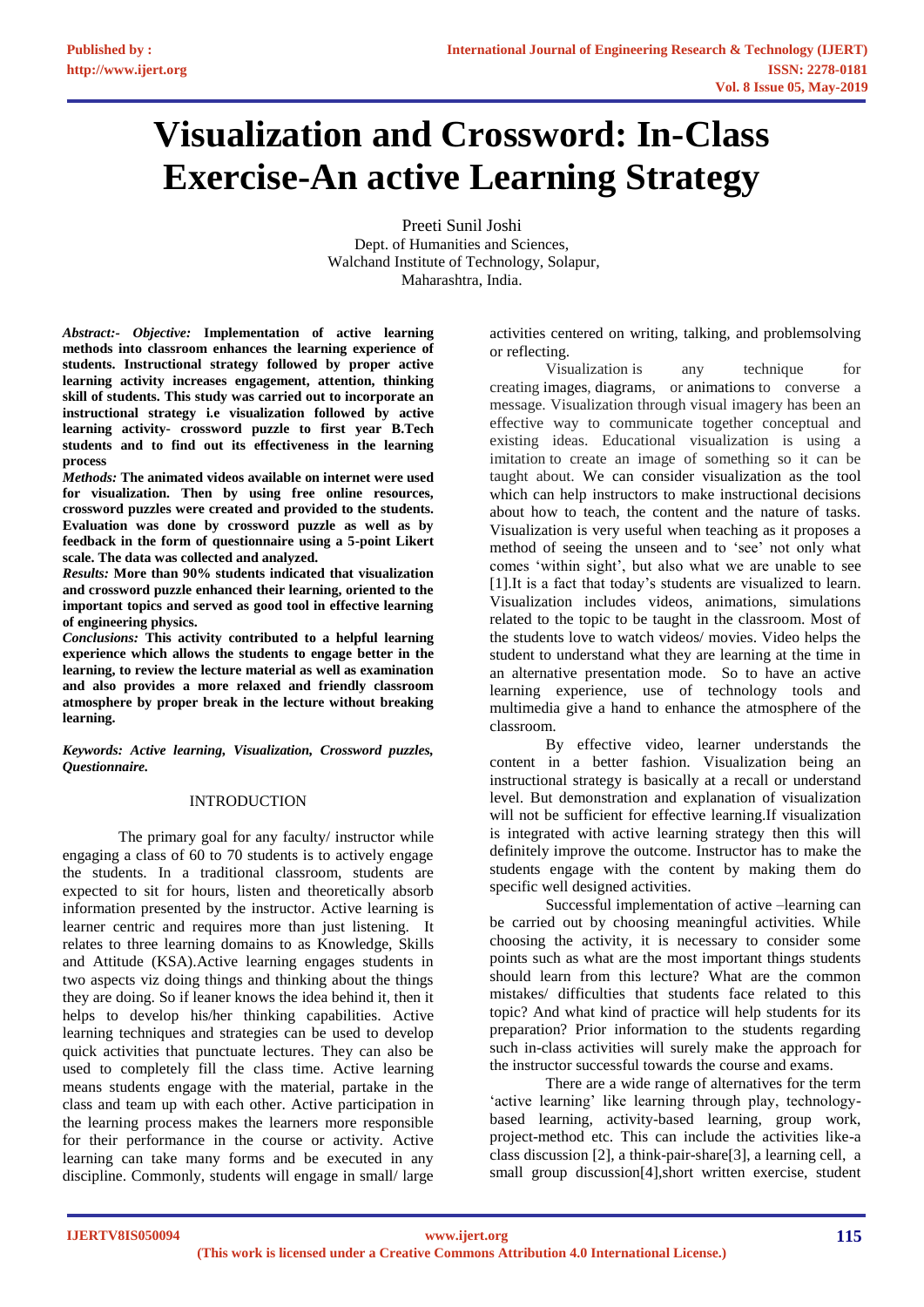# **Visualization and Crossword: In-Class Exercise-An active Learning Strategy**

Preeti Sunil Joshi Dept. of Humanities and Sciences, Walchand Institute of Technology, Solapur, Maharashtra, India.

*Abstract:- Objective:* **Implementation of active learning methods into classroom enhances the learning experience of students. Instructional strategy followed by proper active learning activity increases engagement, attention, thinking skill of students. This study was carried out to incorporate an instructional strategy i.e visualization followed by active learning activity- crossword puzzle to first year B.Tech students and to find out its effectiveness in the learning process**

*Methods:* **The animated videos available on internet were used for visualization. Then by using free online resources, crossword puzzles were created and provided to the students. Evaluation was done by crossword puzzle as well as by feedback in the form of questionnaire using a 5-point Likert scale. The data was collected and analyzed.**

*Results:* **More than 90% students indicated that visualization and crossword puzzle enhanced their learning, oriented to the important topics and served as good tool in effective learning of engineering physics.**

*Conclusions:* **This activity contributed to a helpful learning experience which allows the students to engage better in the learning, to review the lecture material as well as examination and also provides a more relaxed and friendly classroom atmosphere by proper break in the lecture without breaking learning.** 

*Keywords: Active learning, Visualization, Crossword puzzles, Questionnaire.*

# INTRODUCTION

The primary goal for any faculty/ instructor while engaging a class of 60 to 70 students is to actively engage the students. In a traditional classroom, students are expected to sit for hours, listen and theoretically absorb information presented by the instructor. Active learning is learner centric and requires more than just listening. It relates to three learning domains to as Knowledge, Skills and Attitude (KSA).Active learning engages students in two aspects viz doing things and thinking about the things they are doing. So if leaner knows the idea behind it, then it helps to develop his/her thinking capabilities. Active learning techniques and strategies can be used to develop quick activities that punctuate lectures. They can also be used to completely fill the class time. Active learning means students engage with the material, partake in the class and team up with each other. Active participation in the learning process makes the learners more responsible for their performance in the course or activity. Active learning can take many forms and be executed in any discipline. Commonly, students will engage in small/ large

activities centered on writing, talking, and problemsolving or reflecting.

Visualization is any technique for creating images, diagrams, or animations to converse a message. Visualization through visual imagery has been an effective way to communicate together conceptual and existing ideas. Educational visualization is using a imitation to create an image of something so it can be taught about. We can consider visualization as the tool which can help instructors to make instructional decisions about how to teach, the content and the nature of tasks. Visualization is very useful when teaching as it proposes a method of seeing the unseen and to 'see' not only what comes 'within sight', but also what we are unable to see [1].It is a fact that today's students are visualized to learn. Visualization includes videos, animations, simulations related to the topic to be taught in the classroom. Most of the students love to watch videos/ movies. Video helps the student to understand what they are learning at the time in an alternative presentation mode. So to have an active learning experience, use of technology tools and multimedia give a hand to enhance the atmosphere of the classroom.

By effective video, learner understands the content in a better fashion. Visualization being an instructional strategy is basically at a recall or understand level. But demonstration and explanation of visualization will not be sufficient for effective learning.If visualization is integrated with active learning strategy then this will definitely improve the outcome. Instructor has to make the students engage with the content by making them do specific well designed activities.

Successful implementation of active –learning can be carried out by choosing meaningful activities. While choosing the activity, it is necessary to consider some points such as what are the most important things students should learn from this lecture? What are the common mistakes/ difficulties that students face related to this topic? And what kind of practice will help students for its preparation? Prior information to the students regarding such in-class activities will surely make the approach for the instructor successful towards the course and exams.

There are a wide range of alternatives for the term 'active learning' like learning through play, technologybased learning, activity-based learning, group work, project-method etc. This can include the activities like-a class discussion [2], a think-pair-share[3], a learning cell, a small group discussion[4],short written exercise, student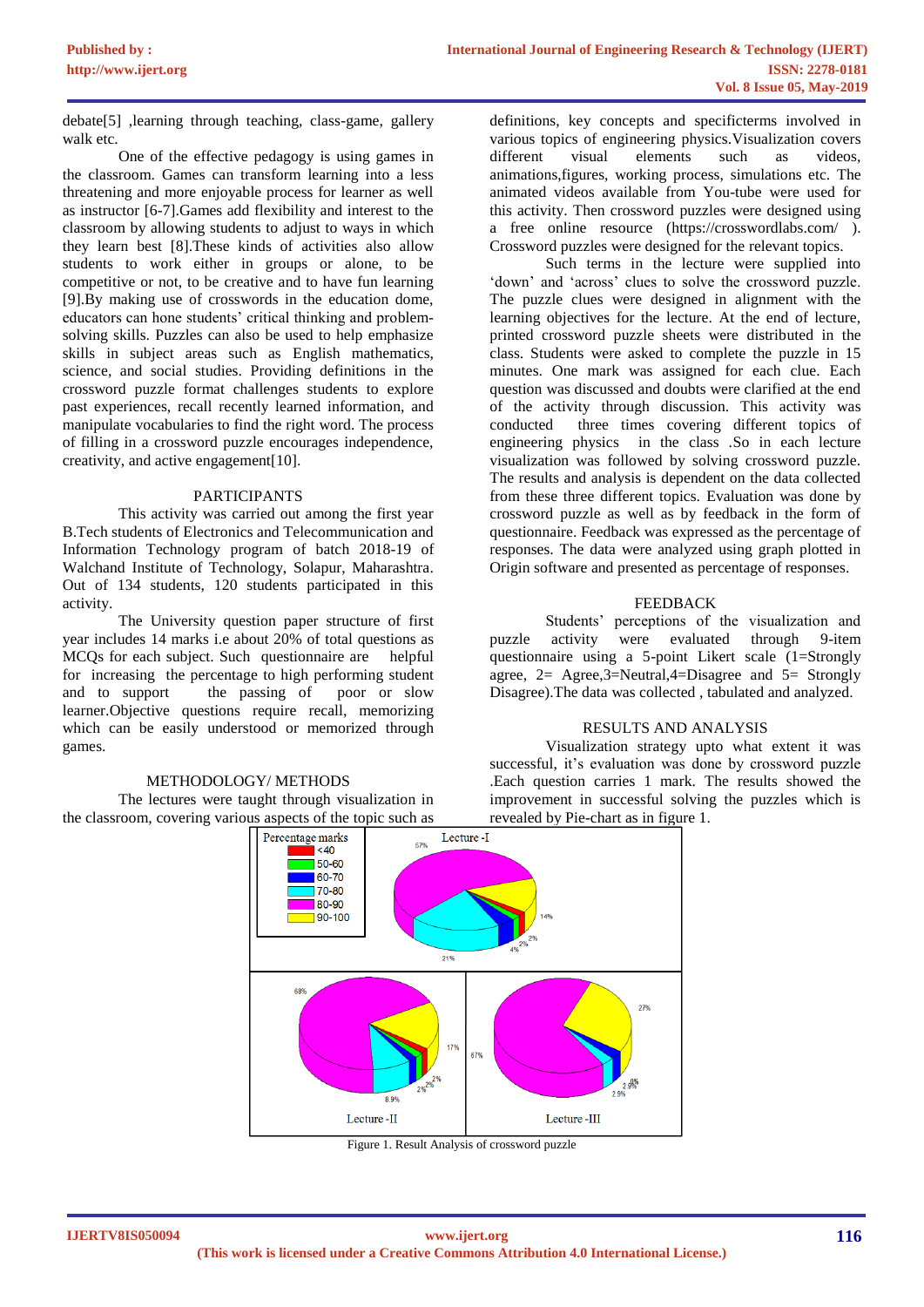debate[5] ,learning through teaching, class-game, gallery walk etc.

One of the effective pedagogy is using games in the classroom. Games can transform learning into a less threatening and more enjoyable process for learner as well as instructor [6-7].Games add flexibility and interest to the classroom by allowing students to adjust to ways in which they learn best [8].These kinds of activities also allow students to work either in groups or alone, to be competitive or not, to be creative and to have fun learning [9].By making use of crosswords in the education dome, educators can hone students' critical thinking and problemsolving skills. Puzzles can also be used to help emphasize skills in subject areas such as English mathematics, science, and social studies. Providing definitions in the crossword puzzle format challenges students to explore past experiences, recall recently learned information, and manipulate vocabularies to find the right word. The process of filling in a crossword puzzle encourages independence, creativity, and active engagement[10].

### PARTICIPANTS

This activity was carried out among the first year B.Tech students of Electronics and Telecommunication and Information Technology program of batch 2018-19 of Walchand Institute of Technology, Solapur, Maharashtra. Out of 134 students, 120 students participated in this activity.

The University question paper structure of first year includes 14 marks i.e about 20% of total questions as MCQs for each subject. Such questionnaire are helpful for increasing the percentage to high performing student and to support the passing of poor or slow learner.Objective questions require recall, memorizing which can be easily understood or memorized through games.

#### METHODOLOGY/ METHODS

The lectures were taught through visualization in the classroom, covering various aspects of the topic such as

definitions, key concepts and specificterms involved in various topics of engineering physics.Visualization covers different visual elements such as videos, animations,figures, working process, simulations etc. The animated videos available from You-tube were used for this activity. Then crossword puzzles were designed using a free online resource (https://crosswordlabs.com/ ). Crossword puzzles were designed for the relevant topics.

Such terms in the lecture were supplied into 'down' and 'across' clues to solve the crossword puzzle. The puzzle clues were designed in alignment with the learning objectives for the lecture. At the end of lecture, printed crossword puzzle sheets were distributed in the class. Students were asked to complete the puzzle in 15 minutes. One mark was assigned for each clue. Each question was discussed and doubts were clarified at the end of the activity through discussion. This activity was conducted three times covering different topics of engineering physics in the class .So in each lecture visualization was followed by solving crossword puzzle. The results and analysis is dependent on the data collected from these three different topics. Evaluation was done by crossword puzzle as well as by feedback in the form of questionnaire. Feedback was expressed as the percentage of responses. The data were analyzed using graph plotted in Origin software and presented as percentage of responses.

## FEEDBACK

Students' perceptions of the visualization and<br>activity were evaluated through 9-item puzzle activity were evaluated through 9-item questionnaire using a 5-point Likert scale (1=Strongly agree,  $2=$  Agree,  $3=$  Neutral,  $4=$  Disagree and  $5=$  Strongly Disagree).The data was collected , tabulated and analyzed.

# RESULTS AND ANALYSIS

Visualization strategy upto what extent it was successful, it's evaluation was done by crossword puzzle .Each question carries 1 mark. The results showed the improvement in successful solving the puzzles which is revealed by Pie-chart as in figure 1.



Figure 1. Result Analysis of crossword puzzle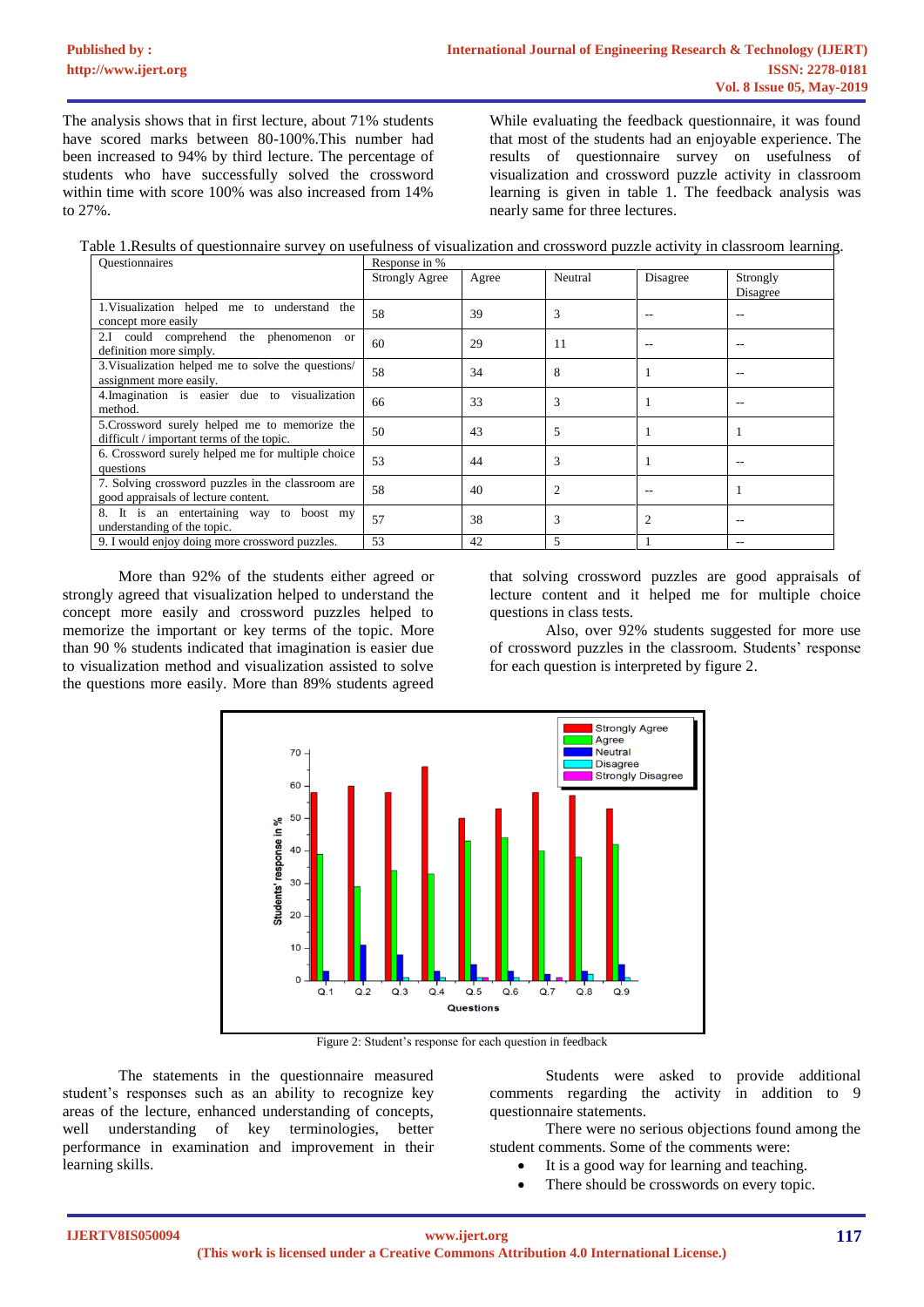The analysis shows that in first lecture, about 71% students have scored marks between 80-100%.This number had been increased to 94% by third lecture. The percentage of students who have successfully solved the crossword within time with score 100% was also increased from 14% to 27%.

While evaluating the feedback questionnaire, it was found that most of the students had an enjoyable experience. The results of questionnaire survey on usefulness of visualization and crossword puzzle activity in classroom learning is given in table 1. The feedback analysis was nearly same for three lectures.

Table 1.Results of questionnaire survey on usefulness of visualization and crossword puzzle activity in classroom learning.

| <b>Ouestionnaires</b>                                                                      | Response in %         |       |         |          |                      |
|--------------------------------------------------------------------------------------------|-----------------------|-------|---------|----------|----------------------|
|                                                                                            | <b>Strongly Agree</b> | Agree | Neutral | Disagree | Strongly<br>Disagree |
| 1. Visualization helped me to understand the<br>concept more easily                        | 58                    | 39    | 3       |          |                      |
| 2.I could comprehend the phenomenon or<br>definition more simply.                          | 60                    | 29    | 11      |          |                      |
| 3. Visualization helped me to solve the questions/<br>assignment more easily.              | 58                    | 34    | 8       |          |                      |
| 4. Imagination is easier due to visualization<br>method.                                   | 66                    | 33    | 3       |          |                      |
| 5. Crossword surely helped me to memorize the<br>difficult / important terms of the topic. | 50                    | 43    | 5       |          |                      |
| 6. Crossword surely helped me for multiple choice<br>questions                             | 53                    | 44    | 3       |          |                      |
| 7. Solving crossword puzzles in the classroom are<br>good appraisals of lecture content.   | 58                    | 40    |         |          |                      |
| 8. It is an entertaining way to boost my<br>understanding of the topic.                    | 57                    | 38    | 3       |          |                      |
| 9. I would enjoy doing more crossword puzzles.                                             | 53                    | 42    | 5       |          | --                   |

More than 92% of the students either agreed or strongly agreed that visualization helped to understand the concept more easily and crossword puzzles helped to memorize the important or key terms of the topic. More than 90 % students indicated that imagination is easier due to visualization method and visualization assisted to solve the questions more easily. More than 89% students agreed

that solving crossword puzzles are good appraisals of lecture content and it helped me for multiple choice questions in class tests.

Also, over 92% students suggested for more use of crossword puzzles in the classroom. Students' response for each question is interpreted by figure 2.



Figure 2: Student's response for each question in feedback

The statements in the questionnaire measured student's responses such as an ability to recognize key areas of the lecture, enhanced understanding of concepts, well understanding of key terminologies, better performance in examination and improvement in their learning skills.

Students were asked to provide additional comments regarding the activity in addition to 9 questionnaire statements.

There were no serious objections found among the student comments. Some of the comments were:

- It is a good way for learning and teaching.
- There should be crosswords on every topic.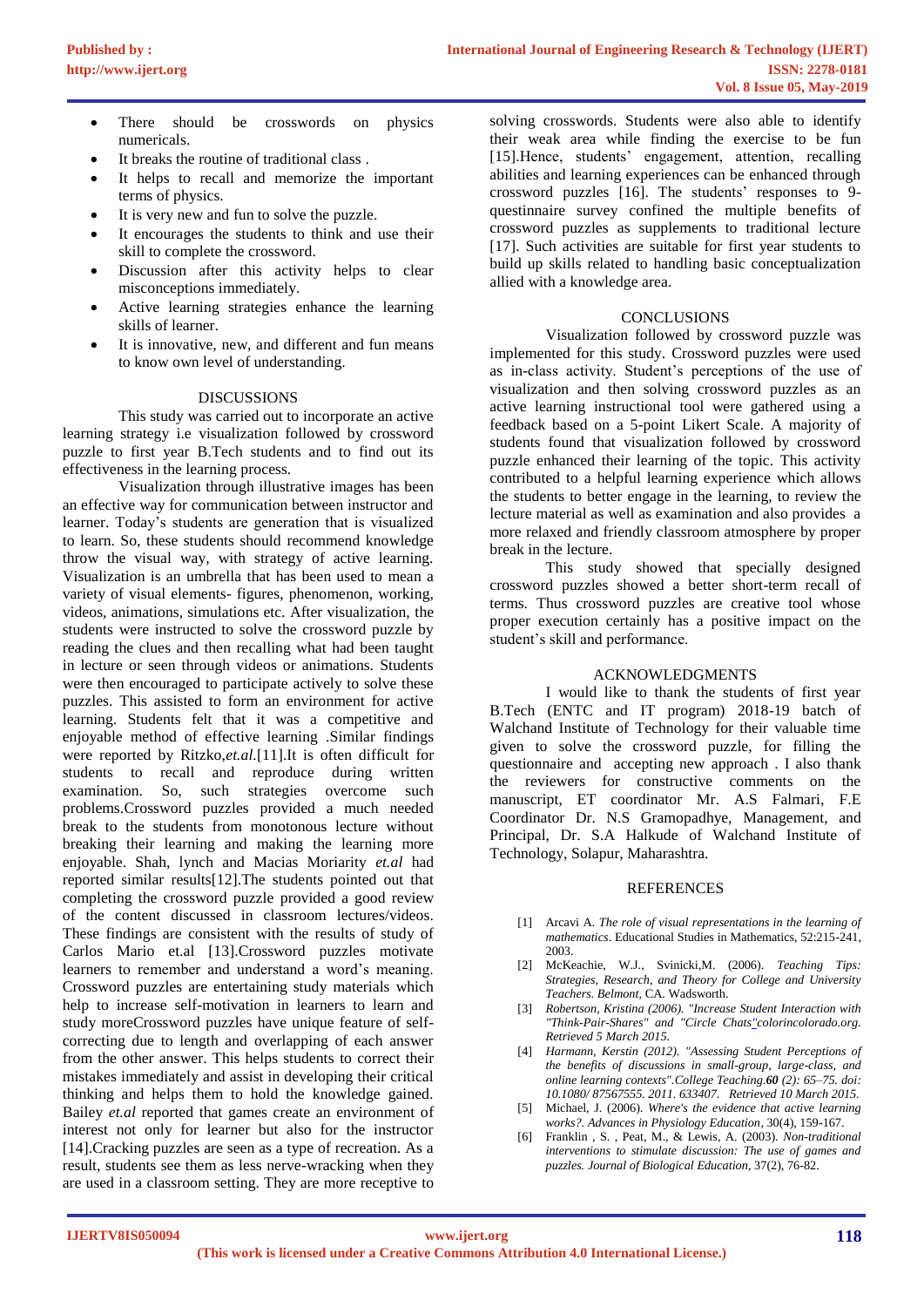- There should be crosswords on physics numericals.
- It breaks the routine of traditional class.
- It helps to recall and memorize the important terms of physics.
- It is very new and fun to solve the puzzle.
- It encourages the students to think and use their skill to complete the crossword.
- Discussion after this activity helps to clear misconceptions immediately.
- Active learning strategies enhance the learning skills of learner.
- It is innovative, new, and different and fun means to know own level of understanding.

# DISCUSSIONS

This study was carried out to incorporate an active learning strategy i.e visualization followed by crossword puzzle to first year B.Tech students and to find out its effectiveness in the learning process.

Visualization through illustrative images has been an effective way for communication between instructor and learner. Today's students are generation that is visualized to learn. So, these students should recommend knowledge throw the visual way, with strategy of active learning. Visualization is an umbrella that has been used to mean a variety of visual elements- figures, phenomenon, working, videos, animations, simulations etc. After visualization, the students were instructed to solve the crossword puzzle by reading the clues and then recalling what had been taught in lecture or seen through videos or animations. Students were then encouraged to participate actively to solve these puzzles. This assisted to form an environment for active learning. Students felt that it was a competitive and enjoyable method of effective learning .Similar findings were reported by Ritzko,*et.al.*[11].It is often difficult for students to recall and reproduce during written examination. So, such strategies overcome such problems.Crossword puzzles provided a much needed break to the students from monotonous lecture without breaking their learning and making the learning more enjoyable. Shah, lynch and Macias Moriarity *et.al* had reported similar results[12].The students pointed out that completing the crossword puzzle provided a good review of the content discussed in classroom lectures/videos. These findings are consistent with the results of study of Carlos Mario et.al [13].Crossword puzzles motivate learners to remember and understand a word's meaning. Crossword puzzles are entertaining study materials which help to increase self-motivation in learners to learn and study moreCrossword puzzles have unique feature of selfcorrecting due to length and overlapping of each answer from the other answer. This helps students to correct their mistakes immediately and assist in developing their critical thinking and helps them to hold the knowledge gained. Bailey *et.al* reported that games create an environment of interest not only for learner but also for the instructor [14].Cracking puzzles are seen as a type of recreation. As a result, students see them as less nerve-wracking when they are used in a classroom setting. They are more receptive to

solving crosswords. Students were also able to identify their weak area while finding the exercise to be fun [15].Hence, students' engagement, attention, recalling abilities and learning experiences can be enhanced through crossword puzzles [16]. The students' responses to 9 questinnaire survey confined the multiple benefits of crossword puzzles as supplements to traditional lecture [17]. Such activities are suitable for first year students to build up skills related to handling basic conceptualization allied with a knowledge area.

# **CONCLUSIONS**

Visualization followed by crossword puzzle was implemented for this study. Crossword puzzles were used as in-class activity. Student's perceptions of the use of visualization and then solving crossword puzzles as an active learning instructional tool were gathered using a feedback based on a 5-point Likert Scale. A majority of students found that visualization followed by crossword puzzle enhanced their learning of the topic. This activity contributed to a helpful learning experience which allows the students to better engage in the learning, to review the lecture material as well as examination and also provides a more relaxed and friendly classroom atmosphere by proper break in the lecture.

This study showed that specially designed crossword puzzles showed a better short-term recall of terms. Thus crossword puzzles are creative tool whose proper execution certainly has a positive impact on the student's skill and performance.

# ACKNOWLEDGMENTS

I would like to thank the students of first year B.Tech (ENTC and IT program) 2018-19 batch of Walchand Institute of Technology for their valuable time given to solve the crossword puzzle, for filling the questionnaire and accepting new approach . I also thank the reviewers for constructive comments on the manuscript, ET coordinator Mr. A.S Falmari, F.E Coordinator Dr. N.S Gramopadhye, Management, and Principal, Dr. S.A Halkude of Walchand Institute of Technology, Solapur, Maharashtra.

# REFERENCES

- [1] Arcavi A. *The role of visual representations in the learning of mathematics*. Educational Studies in Mathematics, 52:215-241, 2003.
- [2] McKeachie, W.J., Svinicki,M. (2006). *Teaching Tips: Strategies, Research, and Theory for College and University Teachers. Belmont*, CA. Wadsworth.
- [3] *Robertson, Kristina (2006). "Increase Student Interaction with "Think-Pair-Shares" and "Circle Chats"colorincolorado.org. Retrieved 5 March 2015.*
- [4] *Harmann, Kerstin (2012). "Assessing Student Perceptions of the benefits of discussions in small-group, large-class, and online learning contexts".College Teaching.60 (2): 65–75. doi: 10.1080/ 87567555. 2011. 633407. Retrieved 10 March 2[015.](https://en.wikipedia.org/wiki/Digital_object_identifier)*
- [5] Michael, J. (2006). *Where's the evidence that active learning works?. Advances in Physiology Education*, 30(4), 159-167.
- [6] Franklin , S. , Peat, M., & Lewis, A. (2003). *Non-traditional interventions to stimulate discussion: The use of games and puzzles. Journal of Biological Education*, 37(2), 76-82.